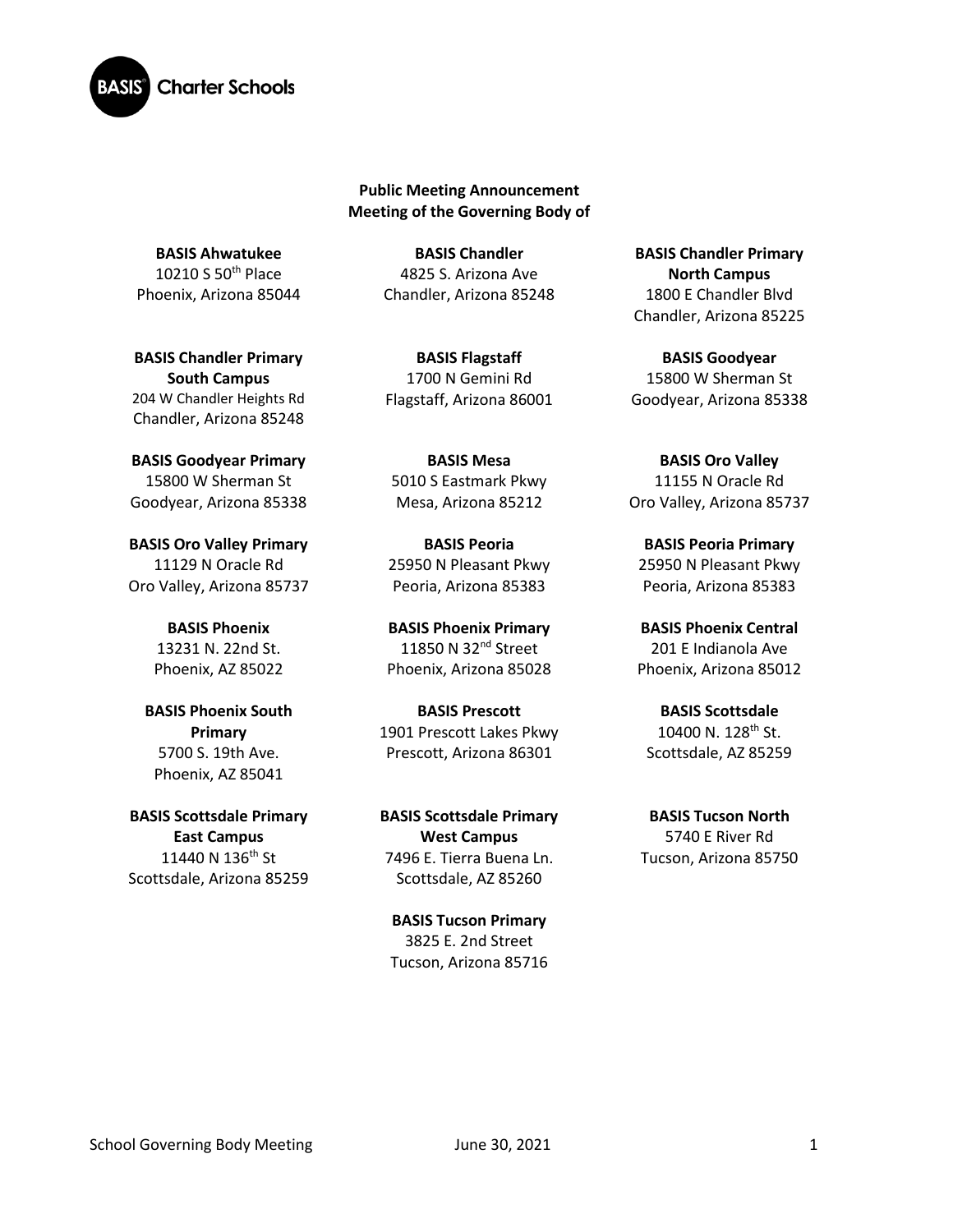

**Public Meeting Announcement Meeting of the Governing Body of**

**BASIS Ahwatukee** 10210 S 50th Place Phoenix, Arizona 85044

**BASIS Chandler Primary South Campus**  204 W Chandler Heights Rd Chandler, Arizona 85248

**BASIS Goodyear Primary** 15800 W Sherman St Goodyear, Arizona 85338

**BASIS Oro Valley Primary**  11129 N Oracle Rd Oro Valley, Arizona 85737

> **BASIS Phoenix** 13231 N. 22nd St. Phoenix, AZ 85022

**BASIS Phoenix South Primary** 5700 S. 19th Ave. Phoenix, AZ 85041

**BASIS Scottsdale Primary East Campus** 11440 N 136<sup>th</sup> St Scottsdale, Arizona 85259

**BASIS Chandler** 4825 S. Arizona Ave Chandler, Arizona 85248

**BASIS Flagstaff** 1700 N Gemini Rd Flagstaff, Arizona 86001

**BASIS Mesa**  5010 S Eastmark Pkwy Mesa, Arizona 85212

**BASIS Peoria** 25950 N Pleasant Pkwy Peoria, Arizona 85383

**BASIS Phoenix Primary** 11850 N 32<sup>nd</sup> Street Phoenix, Arizona 85028

**BASIS Prescott** 1901 Prescott Lakes Pkwy Prescott, Arizona 86301

**BASIS Scottsdale Primary West Campus** 7496 E. Tierra Buena Ln. Scottsdale, AZ 85260

**BASIS Tucson Primary** 3825 E. 2nd Street Tucson, Arizona 85716

**BASIS Chandler Primary North Campus** 1800 E Chandler Blvd Chandler, Arizona 85225

**BASIS Goodyear** 15800 W Sherman St Goodyear, Arizona 85338

**BASIS Oro Valley** 11155 N Oracle Rd Oro Valley, Arizona 85737

**BASIS Peoria Primary**  25950 N Pleasant Pkwy Peoria, Arizona 85383

**BASIS Phoenix Central** 201 E Indianola Ave Phoenix, Arizona 85012

**BASIS Scottsdale** 10400 N.  $128^{th}$  St. Scottsdale, AZ 85259

**BASIS Tucson North** 5740 E River Rd Tucson, Arizona 85750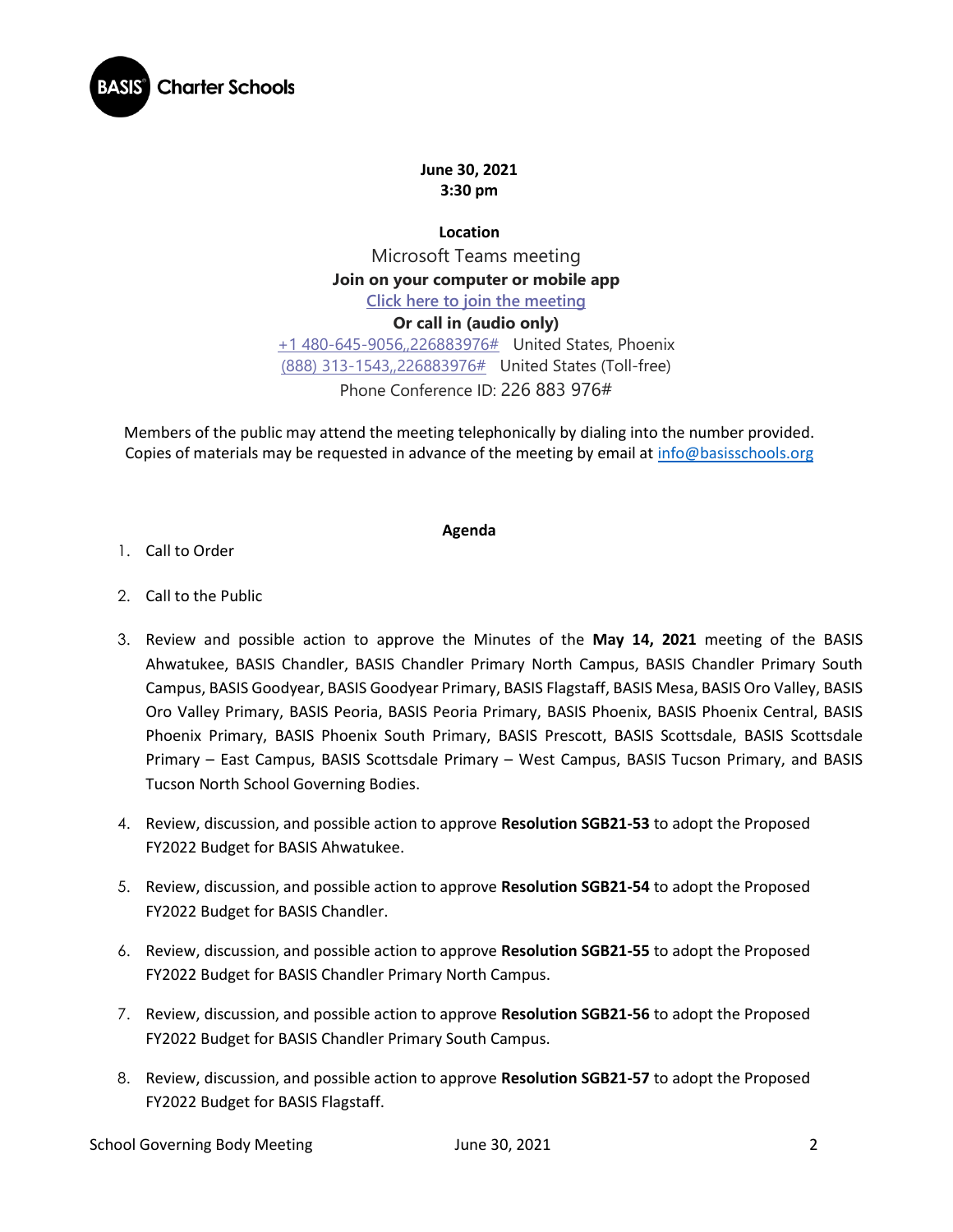

**June 30, 2021 3:30 pm**

**Location** Microsoft Teams meeting **Join on your computer or mobile app [Click here to join the meeting](https://teams.microsoft.com/l/meetup-join/19%3ameeting_Y2QxNmEzZmMtNWU5My00MzBkLTliY2ItYTIzMDMxNDI5ODRj%40thread.v2/0?context=%7b%22Tid%22%3a%22e5f3479c-502f-4e92-b060-0c0c560d6271%22%2c%22Oid%22%3a%22575e4f74-824e-48e9-9805-77af91568d41%22%7d) Or call in (audio only)** [+1 480-645-9056,,226883976#](tel:+14806459056,,226883976# ) United States, Phoenix [\(888\) 313-1543,,226883976#](tel:8883131543,,226883976# ) United States (Toll-free) Phone Conference ID: 226 883 976#

Members of the public may attend the meeting telephonically by dialing into the number provided. Copies of materials may be requested in advance of the meeting by email at [info@basisschools.org](mailto:info@basisschools.org)

## **Agenda**

- 1. Call to Order
- 2. Call to the Public
- 3. Review and possible action to approve the Minutes of the **May 14, 2021** meeting of the BASIS Ahwatukee, BASIS Chandler, BASIS Chandler Primary North Campus, BASIS Chandler Primary South Campus, BASIS Goodyear, BASIS Goodyear Primary, BASIS Flagstaff, BASIS Mesa, BASIS Oro Valley, BASIS Oro Valley Primary, BASIS Peoria, BASIS Peoria Primary, BASIS Phoenix, BASIS Phoenix Central, BASIS Phoenix Primary, BASIS Phoenix South Primary, BASIS Prescott, BASIS Scottsdale, BASIS Scottsdale Primary – East Campus, BASIS Scottsdale Primary – West Campus, BASIS Tucson Primary, and BASIS Tucson North School Governing Bodies.
- 4. Review, discussion, and possible action to approve **Resolution SGB21-53** to adopt the Proposed FY2022 Budget for BASIS Ahwatukee.
- 5. Review, discussion, and possible action to approve **Resolution SGB21-54** to adopt the Proposed FY2022 Budget for BASIS Chandler.
- 6. Review, discussion, and possible action to approve **Resolution SGB21-55** to adopt the Proposed FY2022 Budget for BASIS Chandler Primary North Campus.
- 7. Review, discussion, and possible action to approve **Resolution SGB21-56** to adopt the Proposed FY2022 Budget for BASIS Chandler Primary South Campus.
- 8. Review, discussion, and possible action to approve **Resolution SGB21-57** to adopt the Proposed FY2022 Budget for BASIS Flagstaff.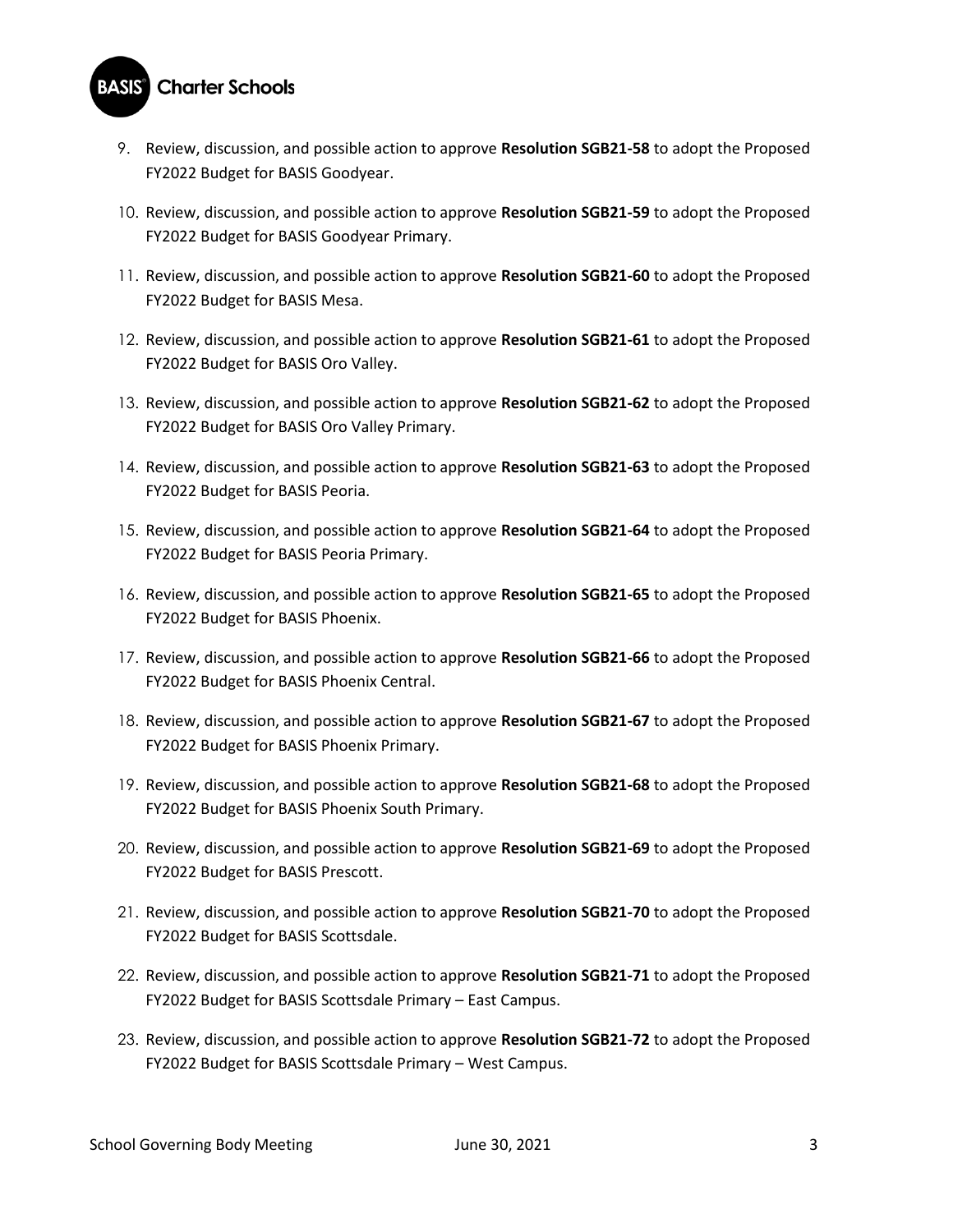## **BASIS** Charter Schools

- 9. Review, discussion, and possible action to approve **Resolution SGB21-58** to adopt the Proposed FY2022 Budget for BASIS Goodyear.
- 10. Review, discussion, and possible action to approve **Resolution SGB21-59** to adopt the Proposed FY2022 Budget for BASIS Goodyear Primary.
- 11. Review, discussion, and possible action to approve **Resolution SGB21-60** to adopt the Proposed FY2022 Budget for BASIS Mesa.
- 12. Review, discussion, and possible action to approve **Resolution SGB21-61** to adopt the Proposed FY2022 Budget for BASIS Oro Valley.
- 13. Review, discussion, and possible action to approve **Resolution SGB21-62** to adopt the Proposed FY2022 Budget for BASIS Oro Valley Primary.
- 14. Review, discussion, and possible action to approve **Resolution SGB21-63** to adopt the Proposed FY2022 Budget for BASIS Peoria.
- 15. Review, discussion, and possible action to approve **Resolution SGB21-64** to adopt the Proposed FY2022 Budget for BASIS Peoria Primary.
- 16. Review, discussion, and possible action to approve **Resolution SGB21-65** to adopt the Proposed FY2022 Budget for BASIS Phoenix.
- 17. Review, discussion, and possible action to approve **Resolution SGB21-66** to adopt the Proposed FY2022 Budget for BASIS Phoenix Central.
- 18. Review, discussion, and possible action to approve **Resolution SGB21-67** to adopt the Proposed FY2022 Budget for BASIS Phoenix Primary.
- 19. Review, discussion, and possible action to approve **Resolution SGB21-68** to adopt the Proposed FY2022 Budget for BASIS Phoenix South Primary.
- 20. Review, discussion, and possible action to approve **Resolution SGB21-69** to adopt the Proposed FY2022 Budget for BASIS Prescott.
- 21. Review, discussion, and possible action to approve **Resolution SGB21-70** to adopt the Proposed FY2022 Budget for BASIS Scottsdale.
- 22. Review, discussion, and possible action to approve **Resolution SGB21-71** to adopt the Proposed FY2022 Budget for BASIS Scottsdale Primary – East Campus.
- 23. Review, discussion, and possible action to approve **Resolution SGB21-72** to adopt the Proposed FY2022 Budget for BASIS Scottsdale Primary – West Campus.